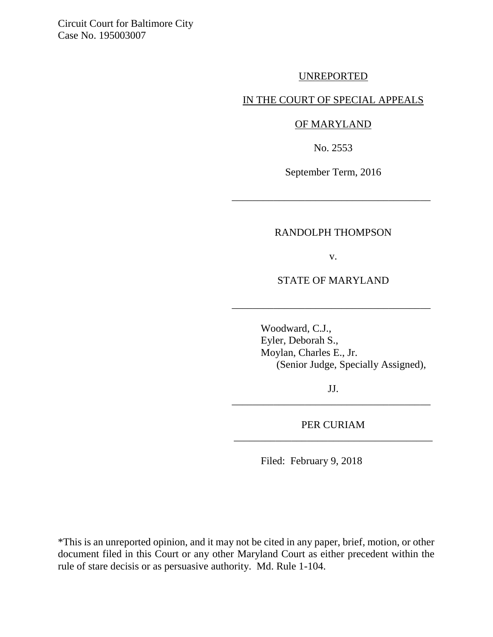Circuit Court for Baltimore City Case No. 195003007

## UNREPORTED

## IN THE COURT OF SPECIAL APPEALS

### OF MARYLAND

No. 2553

September Term, 2016

\_\_\_\_\_\_\_\_\_\_\_\_\_\_\_\_\_\_\_\_\_\_\_\_\_\_\_\_\_\_\_\_\_\_\_\_\_\_

#### RANDOLPH THOMPSON

v.

STATE OF MARYLAND

\_\_\_\_\_\_\_\_\_\_\_\_\_\_\_\_\_\_\_\_\_\_\_\_\_\_\_\_\_\_\_\_\_\_\_\_\_\_

Woodward, C.J., Eyler, Deborah S., Moylan, Charles E., Jr. (Senior Judge, Specially Assigned),

JJ. \_\_\_\_\_\_\_\_\_\_\_\_\_\_\_\_\_\_\_\_\_\_\_\_\_\_\_\_\_\_\_\_\_\_\_\_\_\_

PER CURIAM \_\_\_\_\_\_\_\_\_\_\_\_\_\_\_\_\_\_\_\_\_\_\_\_\_\_\_\_\_\_\_\_\_\_\_\_\_\_

Filed: February 9, 2018

\*This is an unreported opinion, and it may not be cited in any paper, brief, motion, or other document filed in this Court or any other Maryland Court as either precedent within the rule of stare decisis or as persuasive authority. Md. Rule 1-104.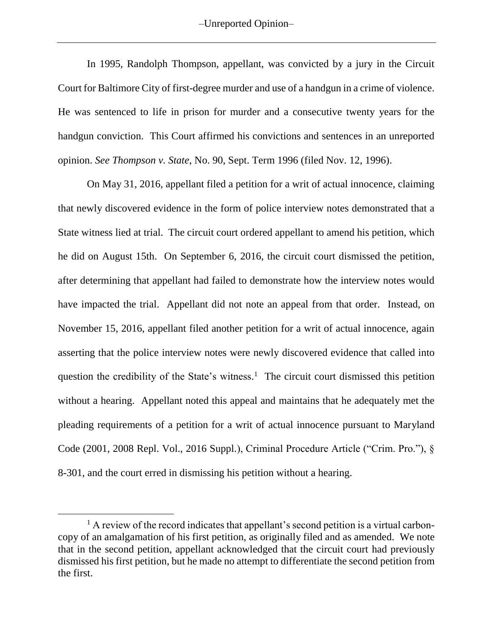–Unreported Opinion–

In 1995, Randolph Thompson, appellant, was convicted by a jury in the Circuit Court for Baltimore City of first-degree murder and use of a handgun in a crime of violence. He was sentenced to life in prison for murder and a consecutive twenty years for the handgun conviction. This Court affirmed his convictions and sentences in an unreported opinion. *See Thompson v. State*, No. 90, Sept. Term 1996 (filed Nov. 12, 1996).

On May 31, 2016, appellant filed a petition for a writ of actual innocence, claiming that newly discovered evidence in the form of police interview notes demonstrated that a State witness lied at trial. The circuit court ordered appellant to amend his petition, which he did on August 15th. On September 6, 2016, the circuit court dismissed the petition, after determining that appellant had failed to demonstrate how the interview notes would have impacted the trial. Appellant did not note an appeal from that order. Instead, on November 15, 2016, appellant filed another petition for a writ of actual innocence, again asserting that the police interview notes were newly discovered evidence that called into question the credibility of the State's witness.<sup>1</sup> The circuit court dismissed this petition without a hearing. Appellant noted this appeal and maintains that he adequately met the pleading requirements of a petition for a writ of actual innocence pursuant to Maryland Code (2001, 2008 Repl. Vol., 2016 Suppl.), Criminal Procedure Article ("Crim. Pro."), § 8-301, and the court erred in dismissing his petition without a hearing.

<sup>&</sup>lt;sup>1</sup> A review of the record indicates that appellant's second petition is a virtual carboncopy of an amalgamation of his first petition, as originally filed and as amended. We note that in the second petition, appellant acknowledged that the circuit court had previously dismissed his first petition, but he made no attempt to differentiate the second petition from the first.